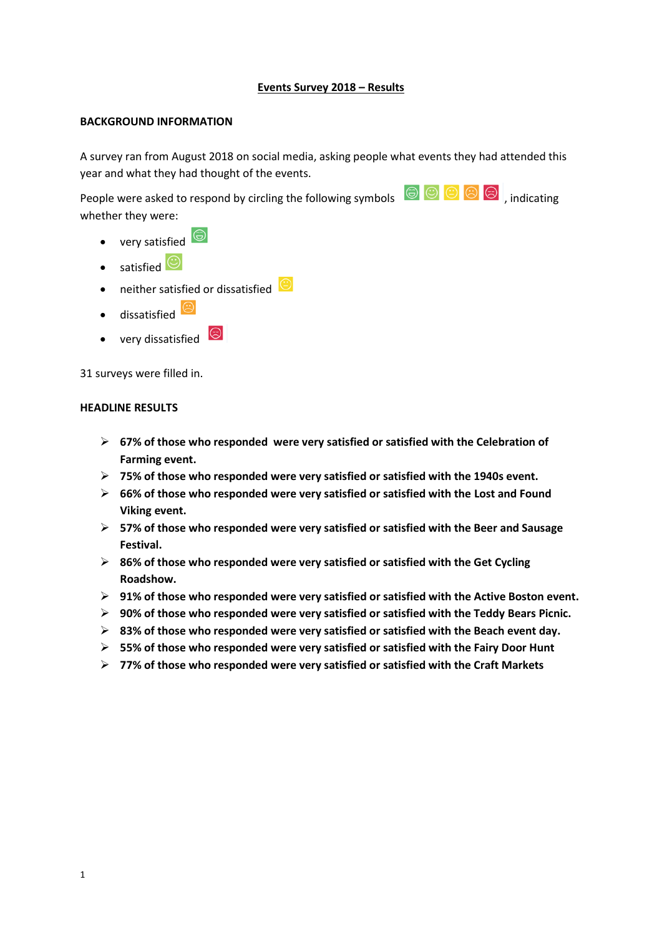### **Events Survey 2018 – Results**

#### **BACKGROUND INFORMATION**

A survey ran from August 2018 on social media, asking people what events they had attended this year and what they had thought of the events.

People were asked to respond by circling the following symbols  $\bigcirc$   $\bigcirc$   $\bigcirc$   $\bigcirc$   $\bigcirc$  , indicating whether they were:

- very satisfied  $\bigcirc$
- satisfied
- neither satisfied or dissatisfied
- $\bullet$  dissatisfied
- very dissatisfied  $\circledcirc$

31 surveys were filled in.

#### **HEADLINE RESULTS**

- **67% of those who responded were very satisfied or satisfied with the Celebration of Farming event.**
- **75% of those who responded were very satisfied or satisfied with the 1940s event.**
- **66% of those who responded were very satisfied or satisfied with the Lost and Found Viking event.**
- **57% of those who responded were very satisfied or satisfied with the Beer and Sausage Festival.**
- **86% of those who responded were very satisfied or satisfied with the Get Cycling Roadshow.**
- **91% of those who responded were very satisfied or satisfied with the Active Boston event.**
- **90% of those who responded were very satisfied or satisfied with the Teddy Bears Picnic.**
- **83% of those who responded were very satisfied or satisfied with the Beach event day.**
- **55% of those who responded were very satisfied or satisfied with the Fairy Door Hunt**
- **77% of those who responded were very satisfied or satisfied with the Craft Markets**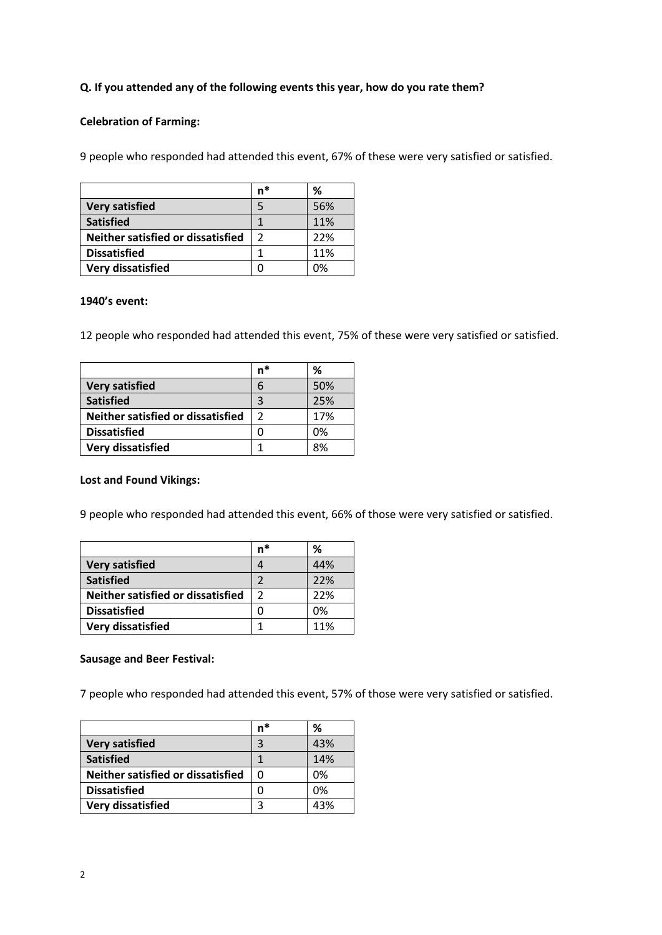## **Q. If you attended any of the following events this year, how do you rate them?**

### **Celebration of Farming:**

9 people who responded had attended this event, 67% of these were very satisfied or satisfied.

|                                   | n*            | ℅   |
|-----------------------------------|---------------|-----|
| <b>Very satisfied</b>             |               | 56% |
| <b>Satisfied</b>                  |               | 11% |
| Neither satisfied or dissatisfied | $\mathfrak z$ | 22% |
| <b>Dissatisfied</b>               |               | 11% |
| Very dissatisfied                 | U             | በ%  |

### **1940's event:**

12 people who responded had attended this event, 75% of these were very satisfied or satisfied.

|                                   | n* | ℅   |
|-----------------------------------|----|-----|
| <b>Very satisfied</b>             |    | 50% |
| <b>Satisfied</b>                  |    | 25% |
| Neither satisfied or dissatisfied |    | 17% |
| <b>Dissatisfied</b>               |    | 0%  |
| <b>Very dissatisfied</b>          |    | 8%  |

#### **Lost and Found Vikings:**

9 people who responded had attended this event, 66% of those were very satisfied or satisfied.

|                                   | n* | ℅   |
|-----------------------------------|----|-----|
| <b>Very satisfied</b>             |    | 44% |
| <b>Satisfied</b>                  |    | 22% |
| Neither satisfied or dissatisfied | 2  | 22% |
| <b>Dissatisfied</b>               |    | 0%  |
| Very dissatisfied                 |    | 11% |

#### **Sausage and Beer Festival:**

7 people who responded had attended this event, 57% of those were very satisfied or satisfied.

|                                   | n* | ℅   |
|-----------------------------------|----|-----|
| <b>Very satisfied</b>             | 3  | 43% |
| <b>Satisfied</b>                  |    | 14% |
| Neither satisfied or dissatisfied | O  | 0%  |
| <b>Dissatisfied</b>               |    | 0%  |
| Very dissatisfied                 | 3  | 43% |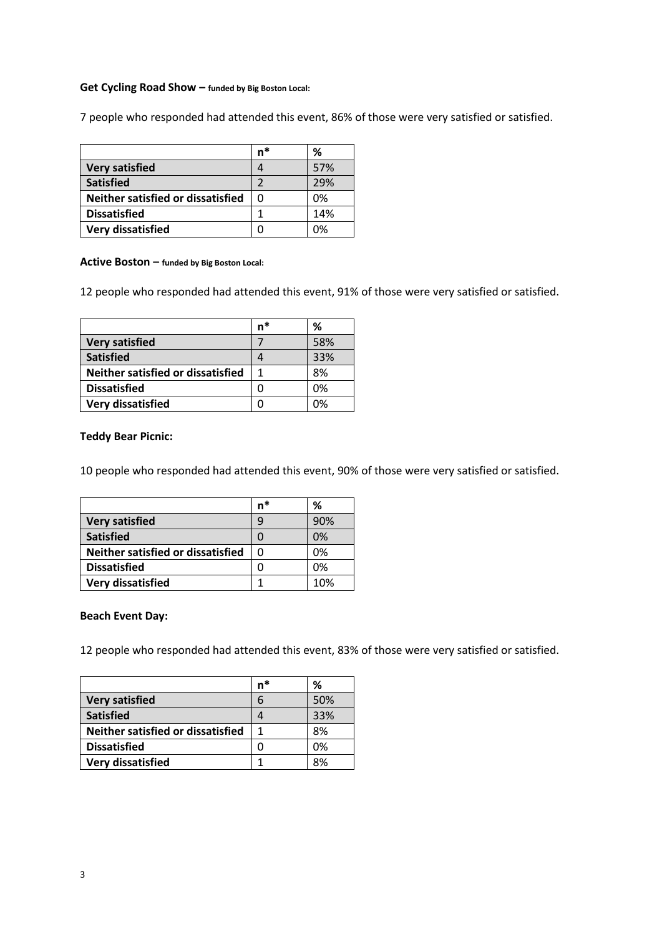#### **Get Cycling Road Show – funded by Big Boston Local:**

7 people who responded had attended this event, 86% of those were very satisfied or satisfied.

|                                   | n* | %   |
|-----------------------------------|----|-----|
| <b>Very satisfied</b>             |    | 57% |
| <b>Satisfied</b>                  | 2  | 29% |
| Neither satisfied or dissatisfied | 0  | 0%  |
| <b>Dissatisfied</b>               |    | 14% |
| Very dissatisfied                 |    | በ%  |

#### **Active Boston – funded by Big Boston Local:**

12 people who responded had attended this event, 91% of those were very satisfied or satisfied.

|                                   | n* | %   |
|-----------------------------------|----|-----|
| <b>Very satisfied</b>             |    | 58% |
| <b>Satisfied</b>                  |    | 33% |
| Neither satisfied or dissatisfied |    | 8%  |
| <b>Dissatisfied</b>               |    | 0%  |
| <b>Very dissatisfied</b>          |    | በ%  |

#### **Teddy Bear Picnic:**

10 people who responded had attended this event, 90% of those were very satisfied or satisfied.

|                                   | n* | %   |
|-----------------------------------|----|-----|
| <b>Very satisfied</b>             | q  | 90% |
| <b>Satisfied</b>                  |    | 0%  |
| Neither satisfied or dissatisfied |    | 0%  |
| <b>Dissatisfied</b>               |    | በ%  |
| <b>Very dissatisfied</b>          |    | 10% |

#### **Beach Event Day:**

12 people who responded had attended this event, 83% of those were very satisfied or satisfied.

|                                   | n* | ℅   |
|-----------------------------------|----|-----|
| <b>Very satisfied</b>             | 6  | 50% |
| <b>Satisfied</b>                  |    | 33% |
| Neither satisfied or dissatisfied |    | 8%  |
| <b>Dissatisfied</b>               |    | 0%  |
| <b>Very dissatisfied</b>          | 1  | 8%  |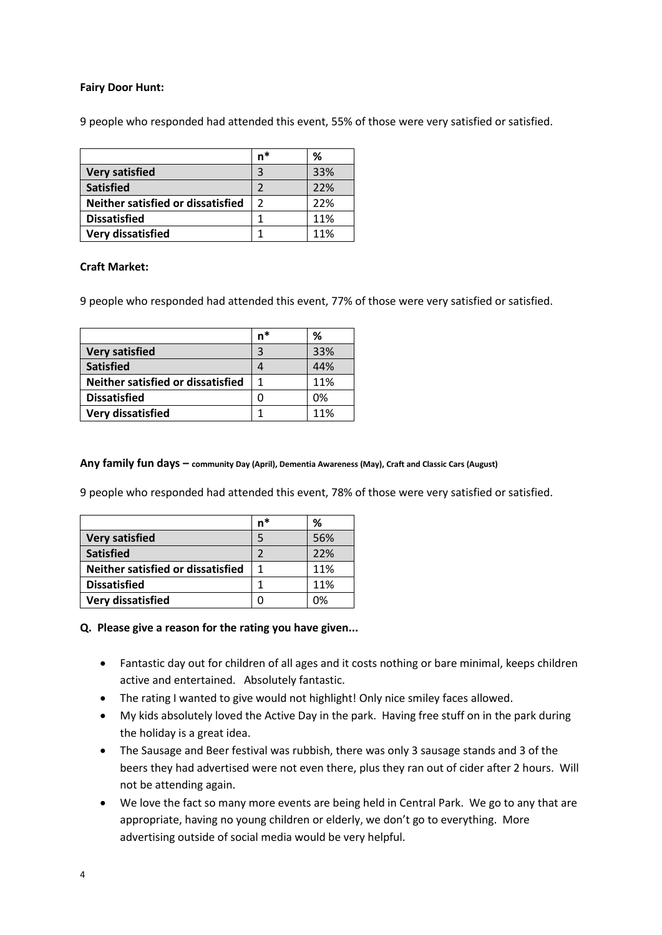### **Fairy Door Hunt:**

9 people who responded had attended this event, 55% of those were very satisfied or satisfied.

|                                   | n*            | %   |
|-----------------------------------|---------------|-----|
| <b>Very satisfied</b>             | 3             | 33% |
| <b>Satisfied</b>                  |               | 22% |
| Neither satisfied or dissatisfied | $\mathfrak z$ | 22% |
| <b>Dissatisfied</b>               |               | 11% |
| Very dissatisfied                 |               | 11% |

### **Craft Market:**

9 people who responded had attended this event, 77% of those were very satisfied or satisfied.

|                                   | n* | ℅   |
|-----------------------------------|----|-----|
| <b>Very satisfied</b>             | 3  | 33% |
| <b>Satisfied</b>                  |    | 44% |
| Neither satisfied or dissatisfied |    | 11% |
| <b>Dissatisfied</b>               |    | 0%  |
| Very dissatisfied                 |    | 11% |

**Any family fun days – community Day (April), Dementia Awareness (May), Craft and Classic Cars (August)** 

9 people who responded had attended this event, 78% of those were very satisfied or satisfied.

|                                   | n* | ℅   |
|-----------------------------------|----|-----|
| <b>Very satisfied</b>             | 5  | 56% |
| <b>Satisfied</b>                  | 2  | 22% |
| Neither satisfied or dissatisfied | 1  | 11% |
| <b>Dissatisfied</b>               |    | 11% |
| <b>Very dissatisfied</b>          |    | ገ%  |

### **Q. Please give a reason for the rating you have given...**

- Fantastic day out for children of all ages and it costs nothing or bare minimal, keeps children active and entertained. Absolutely fantastic.
- The rating I wanted to give would not highlight! Only nice smiley faces allowed.
- My kids absolutely loved the Active Day in the park. Having free stuff on in the park during the holiday is a great idea.
- The Sausage and Beer festival was rubbish, there was only 3 sausage stands and 3 of the beers they had advertised were not even there, plus they ran out of cider after 2 hours. Will not be attending again.
- We love the fact so many more events are being held in Central Park. We go to any that are appropriate, having no young children or elderly, we don't go to everything. More advertising outside of social media would be very helpful.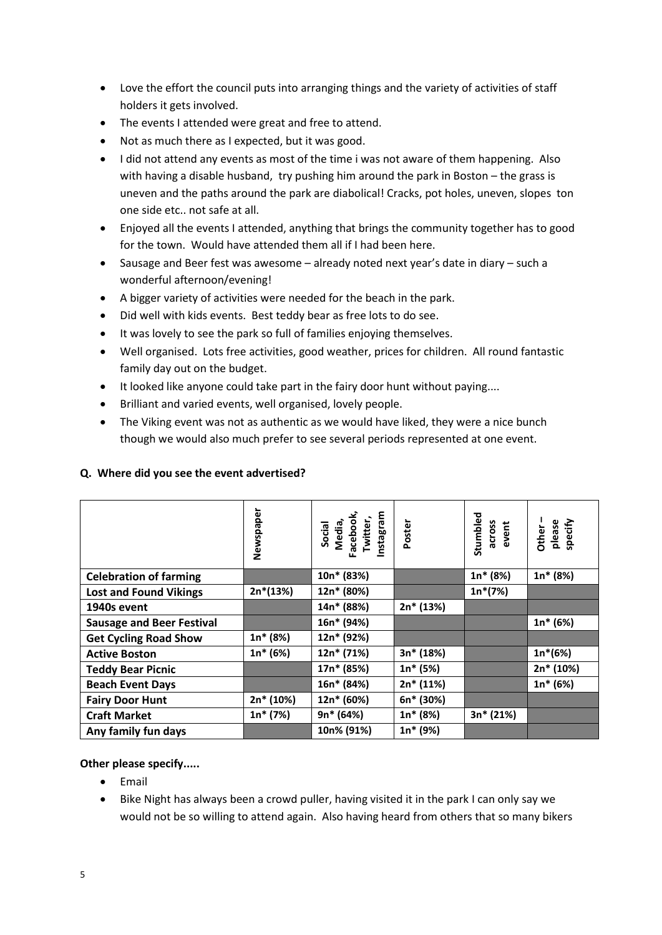- Love the effort the council puts into arranging things and the variety of activities of staff holders it gets involved.
- The events I attended were great and free to attend.
- Not as much there as I expected, but it was good.
- I did not attend any events as most of the time i was not aware of them happening. Also with having a disable husband, try pushing him around the park in Boston – the grass is uneven and the paths around the park are diabolical! Cracks, pot holes, uneven, slopes ton one side etc.. not safe at all.
- Enjoyed all the events I attended, anything that brings the community together has to good for the town. Would have attended them all if I had been here.
- Sausage and Beer fest was awesome already noted next year's date in diary such a wonderful afternoon/evening!
- A bigger variety of activities were needed for the beach in the park.
- Did well with kids events. Best teddy bear as free lots to do see.
- It was lovely to see the park so full of families enjoying themselves.
- Well organised. Lots free activities, good weather, prices for children. All round fantastic family day out on the budget.
- It looked like anyone could take part in the fairy door hunt without paying....
- Brilliant and varied events, well organised, lovely people.
- The Viking event was not as authentic as we would have liked, they were a nice bunch though we would also much prefer to see several periods represented at one event.

|                                  | Newspaper  | Social<br>Media,<br>Facebook,<br>Twitter,<br>Instagram | Poster      | Stumbled<br>across<br>event | please<br>specify<br><b>Other</b> |
|----------------------------------|------------|--------------------------------------------------------|-------------|-----------------------------|-----------------------------------|
| <b>Celebration of farming</b>    |            | 10n* (83%)                                             |             | $1n* (8%)$                  | $1n* (8%)$                        |
| <b>Lost and Found Vikings</b>    | $2n*(13%)$ | 12n* (80%)                                             |             | $1n*(7%)$                   |                                   |
| 1940s event                      |            | 14n* (88%)                                             | 2n* (13%)   |                             |                                   |
| <b>Sausage and Beer Festival</b> |            | 16n* (94%)                                             |             |                             | $1n* (6%)$                        |
| <b>Get Cycling Road Show</b>     | $1n* (8%)$ | 12n* (92%)                                             |             |                             |                                   |
| <b>Active Boston</b>             | $1n*(6%)$  | 12n* (71%)                                             | 3n* (18%)   |                             | $1n*(6%)$                         |
| <b>Teddy Bear Picnic</b>         |            | 17n* (85%)                                             | $1n* (5%)$  |                             | 2n* (10%)                         |
| <b>Beach Event Days</b>          |            | 16n* (84%)                                             | $2n* (11%)$ |                             | $1n* (6%)$                        |
| <b>Fairy Door Hunt</b>           | 2n* (10%)  | 12n* (60%)                                             | 6n* (30%)   |                             |                                   |
| <b>Craft Market</b>              | $1n*(7%)$  | $9n* (64%)$                                            | $1n*(8%)$   | $3n* (21%)$                 |                                   |
| Any family fun days              |            | 10n% (91%)                                             | $1n*(9%)$   |                             |                                   |

# **Q. Where did you see the event advertised?**

# **Other please specify.....**

- Email
- Bike Night has always been a crowd puller, having visited it in the park I can only say we would not be so willing to attend again. Also having heard from others that so many bikers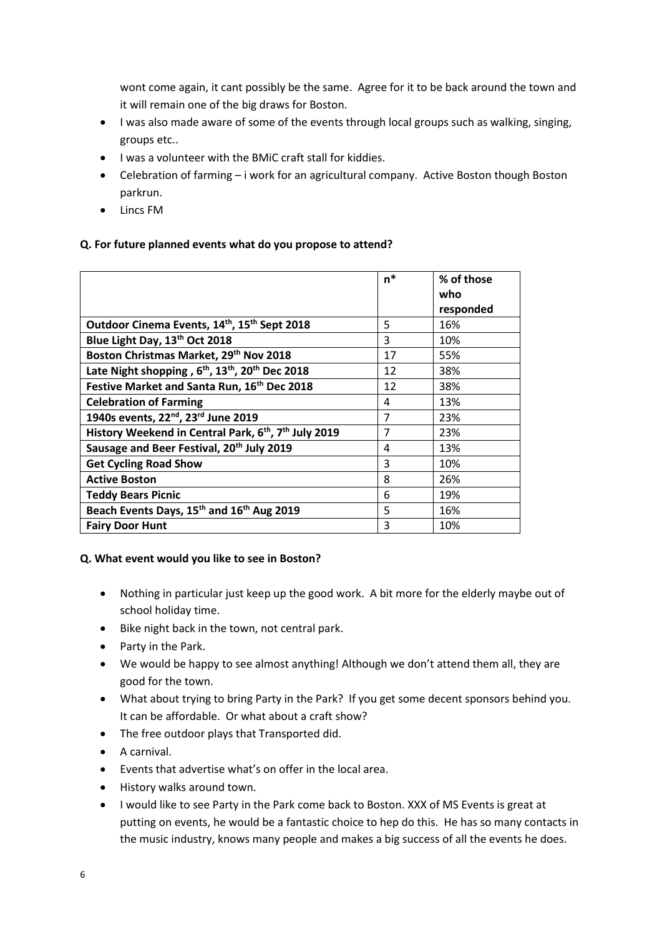wont come again, it cant possibly be the same. Agree for it to be back around the town and it will remain one of the big draws for Boston.

- I was also made aware of some of the events through local groups such as walking, singing, groups etc..
- I was a volunteer with the BMiC craft stall for kiddies.
- Celebration of farming i work for an agricultural company. Active Boston though Boston parkrun.
- Lincs FM

# **Q. For future planned events what do you propose to attend?**

|                                                                                     | $n^*$          | % of those<br>who<br>responded |
|-------------------------------------------------------------------------------------|----------------|--------------------------------|
| Outdoor Cinema Events, 14th, 15th Sept 2018                                         | 5              | 16%                            |
| Blue Light Day, 13th Oct 2018                                                       | 3              | 10%                            |
| Boston Christmas Market, 29th Nov 2018                                              | 17             | 55%                            |
| Late Night shopping, 6 <sup>th</sup> , 13 <sup>th</sup> , 20 <sup>th</sup> Dec 2018 | 12             | 38%                            |
| Festive Market and Santa Run, 16th Dec 2018                                         | 12             | 38%                            |
| <b>Celebration of Farming</b>                                                       | 4              | 13%                            |
| 1940s events, 22 <sup>nd</sup> , 23 <sup>rd</sup> June 2019                         | $\overline{7}$ | 23%                            |
| History Weekend in Central Park, 6 <sup>th</sup> , 7 <sup>th</sup> July 2019        | 7              | 23%                            |
| Sausage and Beer Festival, 20 <sup>th</sup> July 2019                               | 4              | 13%                            |
| <b>Get Cycling Road Show</b>                                                        | 3              | 10%                            |
| <b>Active Boston</b>                                                                | 8              | 26%                            |
| <b>Teddy Bears Picnic</b>                                                           | 6              | 19%                            |
| Beach Events Days, 15 <sup>th</sup> and 16 <sup>th</sup> Aug 2019                   | 5              | 16%                            |
| <b>Fairy Door Hunt</b>                                                              | 3              | 10%                            |

# **Q. What event would you like to see in Boston?**

- Nothing in particular just keep up the good work. A bit more for the elderly maybe out of school holiday time.
- Bike night back in the town, not central park.
- Party in the Park.
- We would be happy to see almost anything! Although we don't attend them all, they are good for the town.
- What about trying to bring Party in the Park? If you get some decent sponsors behind you. It can be affordable. Or what about a craft show?
- The free outdoor plays that Transported did.
- A carnival.
- Events that advertise what's on offer in the local area.
- History walks around town.
- I would like to see Party in the Park come back to Boston. XXX of MS Events is great at putting on events, he would be a fantastic choice to hep do this. He has so many contacts in the music industry, knows many people and makes a big success of all the events he does.